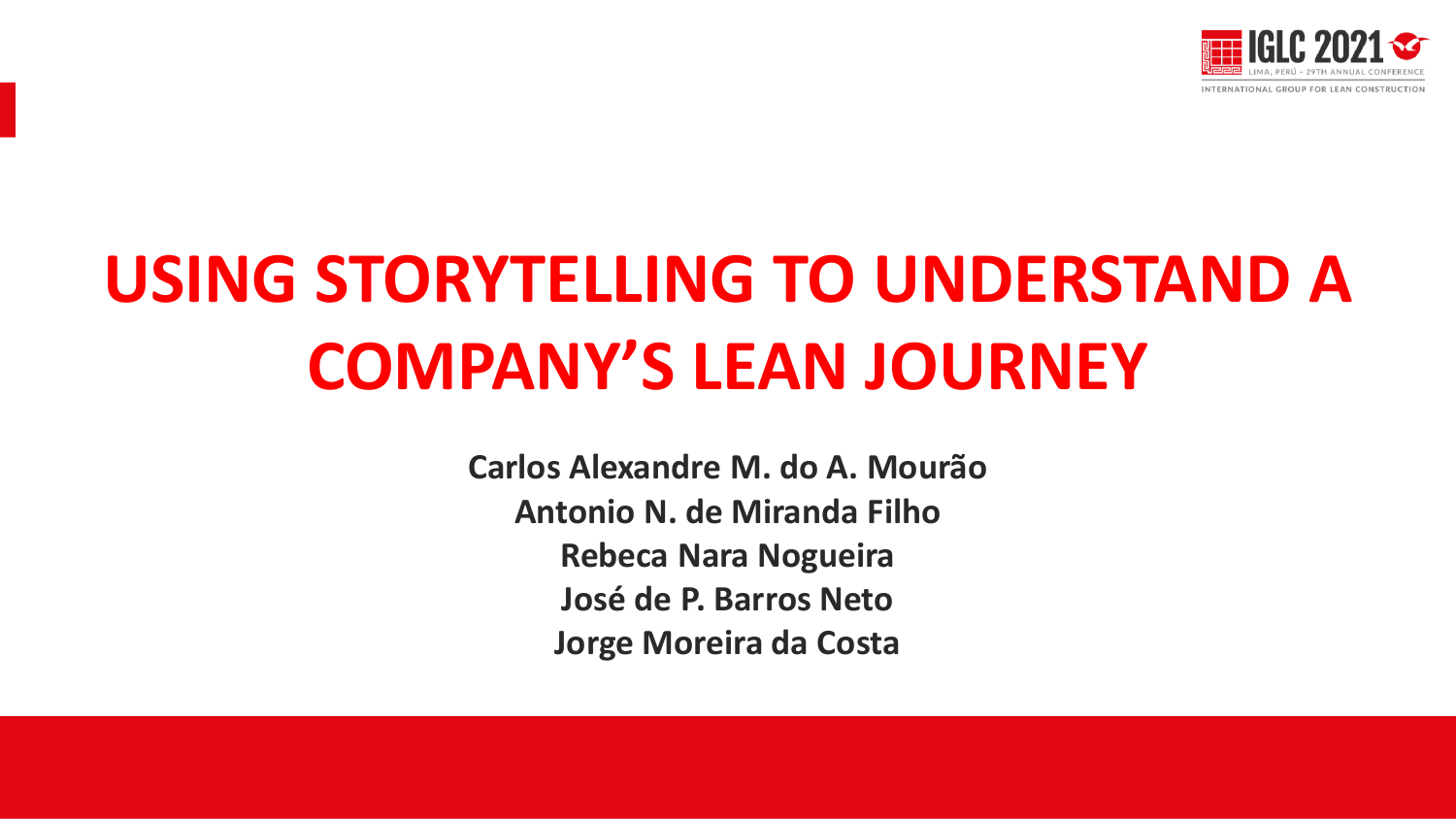

# **USING STORYTELLING TO UNDERSTAND A COMPANY'S LEAN JOURNEY**

**Carlos Alexandre M. do A. Mourão Antonio N. de Miranda Filho Rebeca Nara Nogueira José de P. Barros Neto Jorge Moreira da Costa**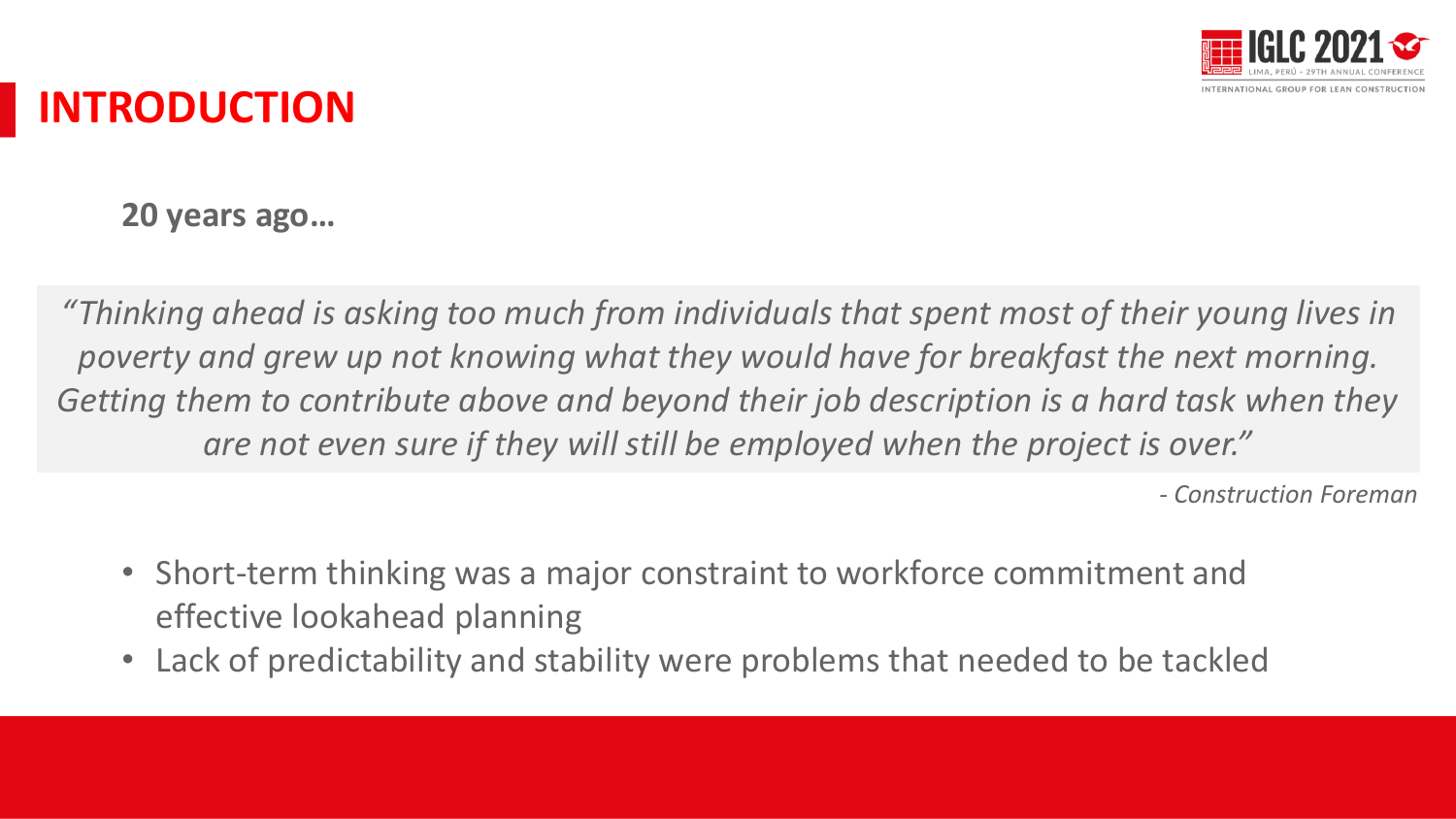

### **INTRODUCTION**

**20 years ago…**

*"Thinking ahead is asking too much from individuals that spent most of their young lives in poverty and grew up not knowing what they would have for breakfast the next morning. Getting them to contribute above and beyond their job description is a hard task when they are not even sure if they will still be employed when the project is over."*

*- Construction Foreman*

- Short-term thinking was a major constraint to workforce commitment and effective lookahead planning
- Lack of predictability and stability were problems that needed to be tackled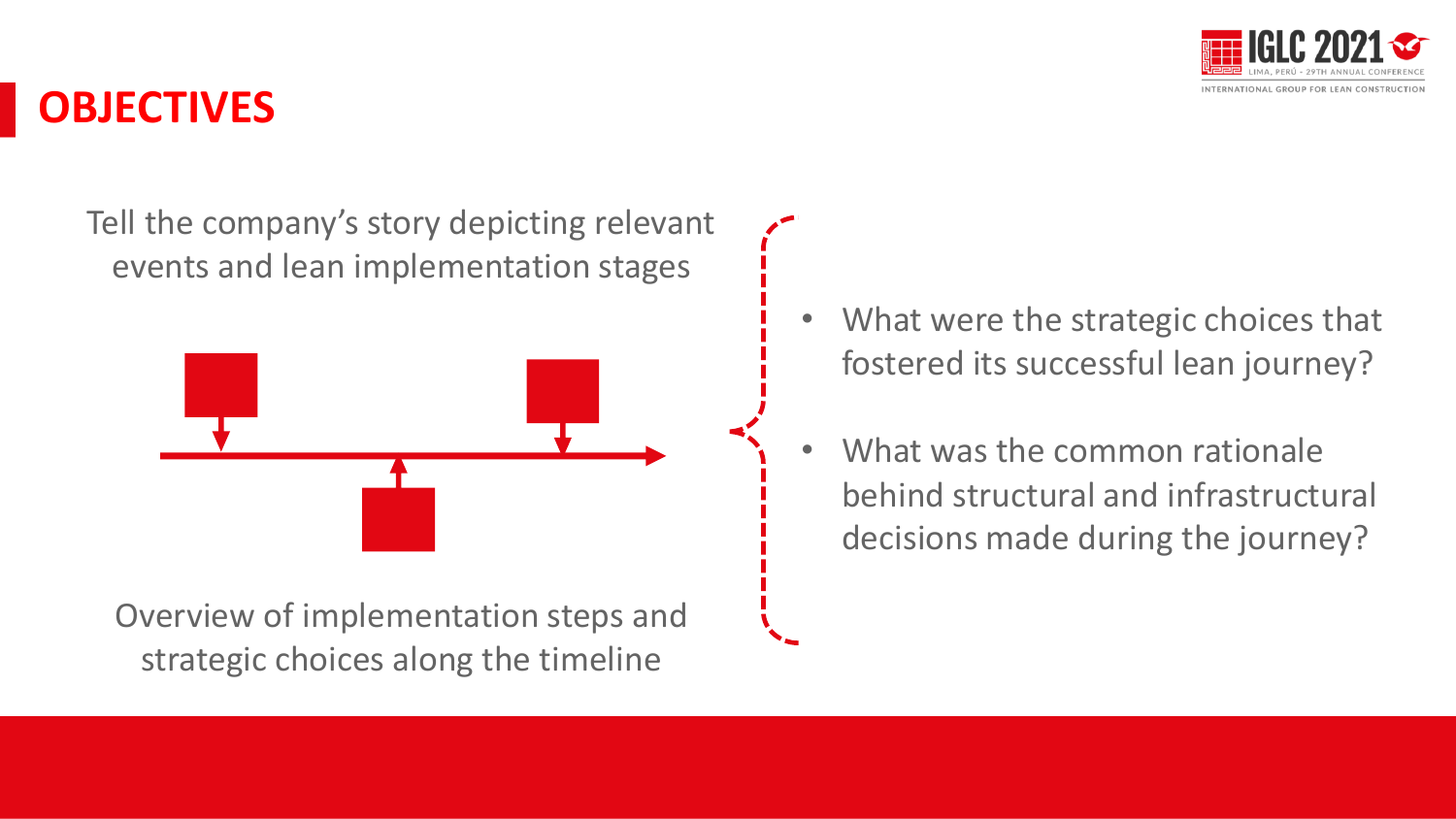

### **OBJECTIVES**

Tell the company's story depicting relevant events and lean implementation stages



Overview of implementation steps and strategic choices along the timeline

- What were the strategic choices that fostered its successful lean journey?
- What was the common rationale behind structural and infrastructural decisions made during the journey?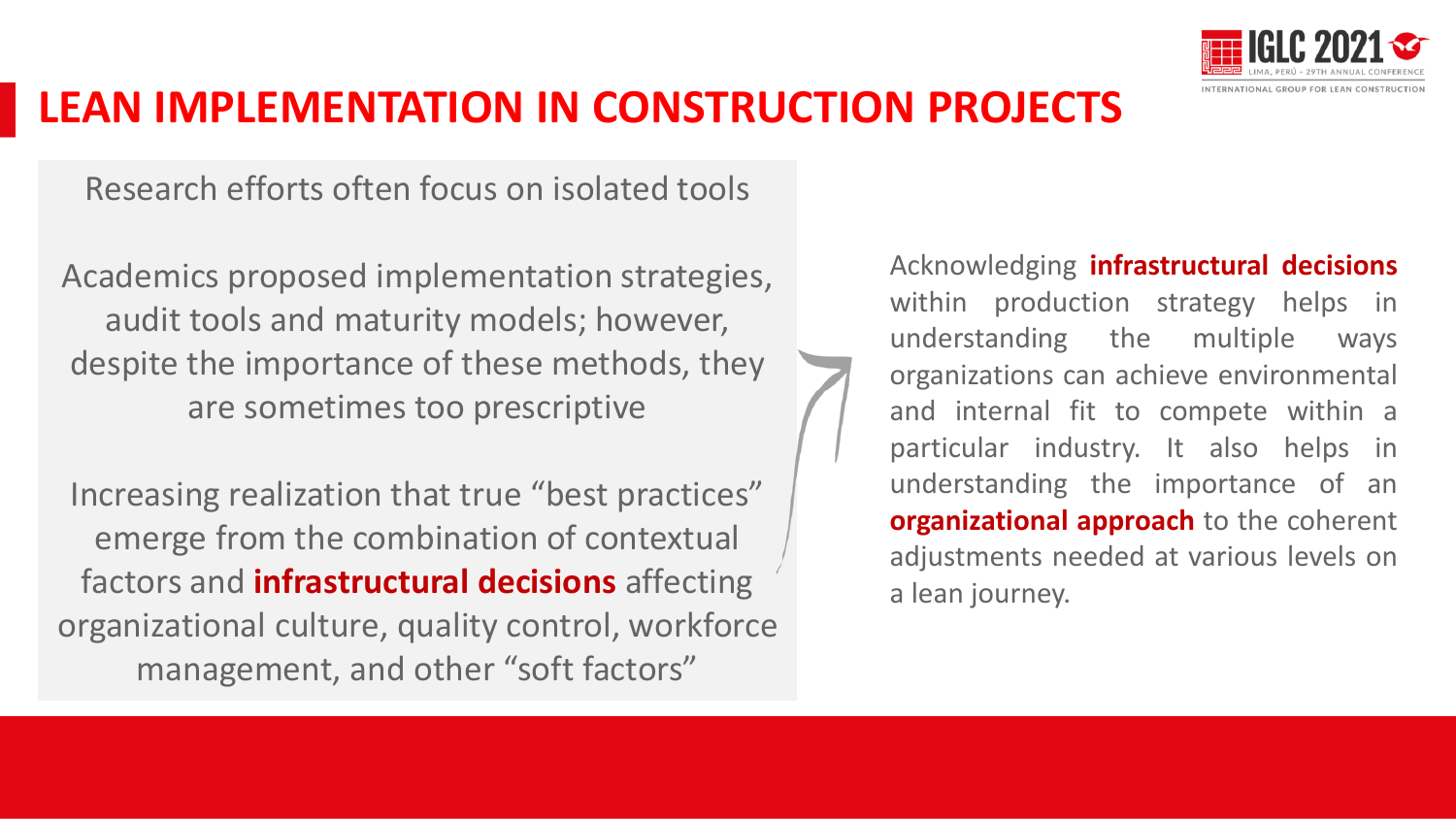

### **LEAN IMPLEMENTATION IN CONSTRUCTION PROJECTS**

Research efforts often focus on isolated tools

Academics proposed implementation strategies, audit tools and maturity models; however, despite the importance of these methods, they are sometimes too prescriptive

Increasing realization that true "best practices" emerge from the combination of contextual factors and **infrastructural decisions** affecting organizational culture, quality control, workforce management, and other "soft factors"

Acknowledging **infrastructural decisions** within production strategy helps in understanding the multiple ways organizations can achieve environmental and internal fit to compete within a particular industry. It also helps in understanding the importance of an **organizational approach** to the coherent adjustments needed at various levels on a lean journey.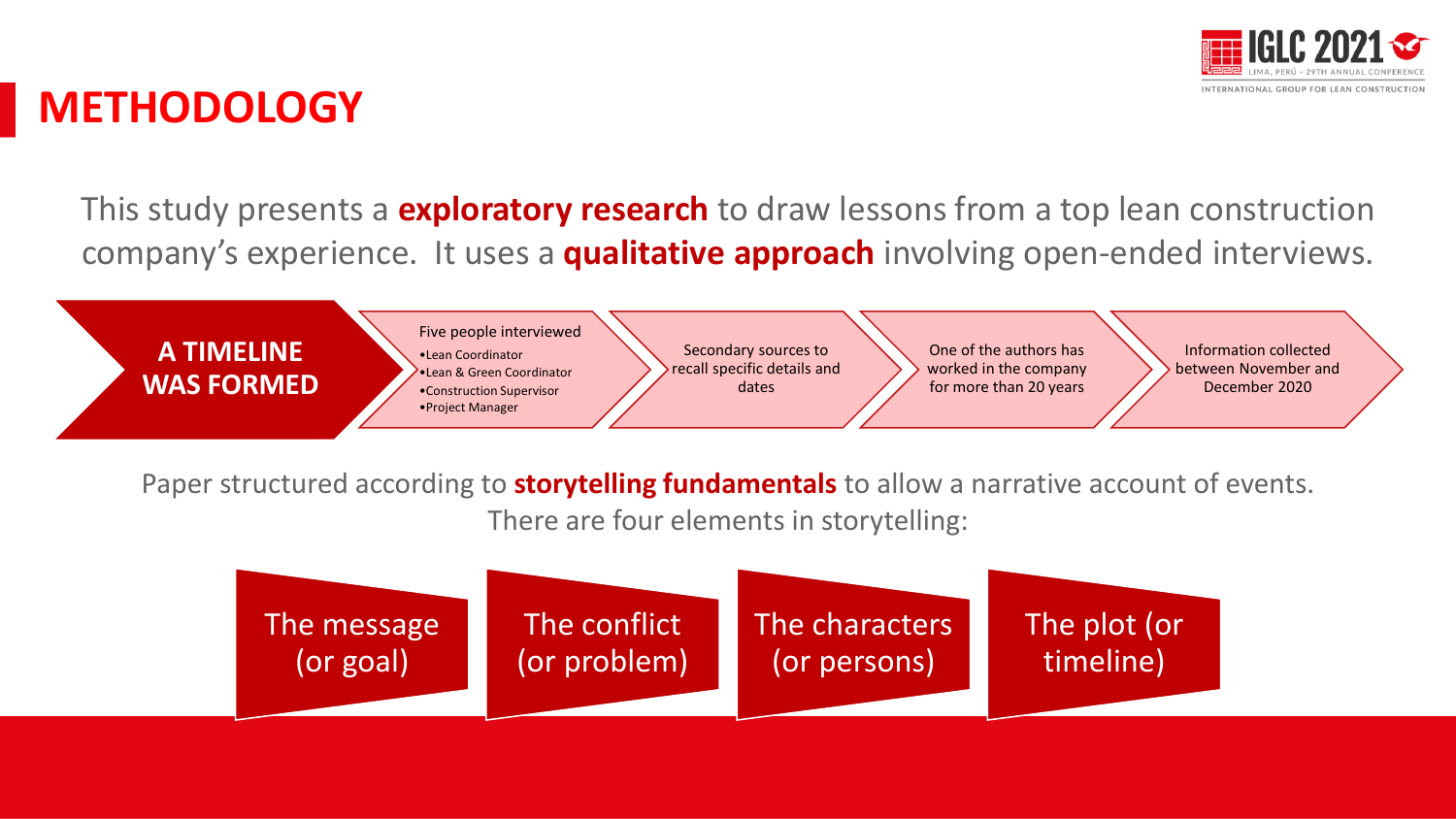

#### **METHODOLOGY**

This study presents a **exploratory research** to draw lessons from a top lean construction company's experience. It uses a **qualitative approach** involving open-ended interviews.

**A TIMELINE WAS FORMED** Five people interviewed •Lean Coordinator •Lean & Green Coordinator

•Construction Supervisor •Project Manager

Secondary sources to recall specific details and dates

One of the authors has worked in the company for more than 20 years

Information collected between November and December 2020

Paper structured according to **storytelling fundamentals** to allow a narrative account of events.

There are four elements in storytelling:

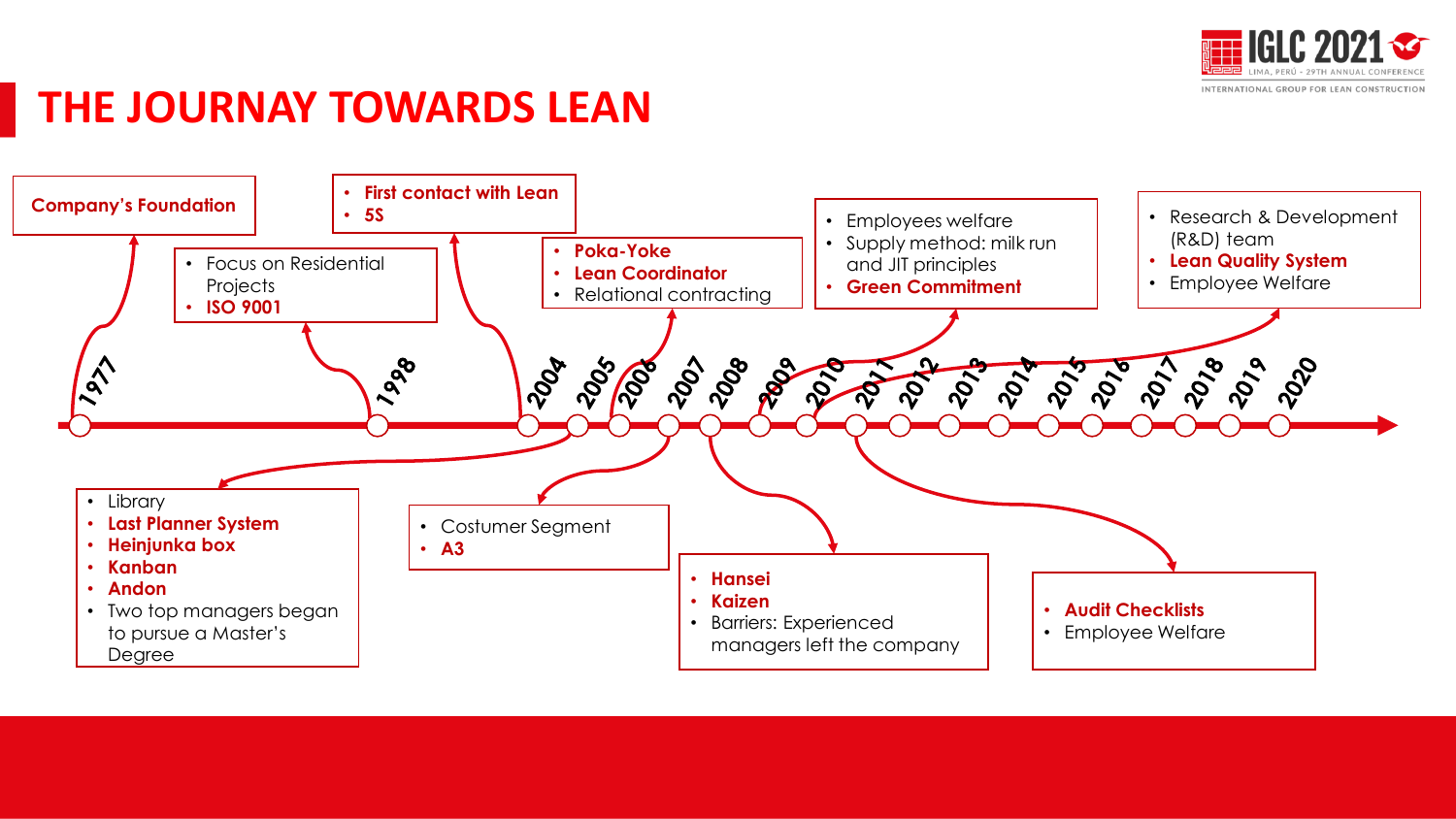

### **THE JOURNAY TOWARDS LEAN**

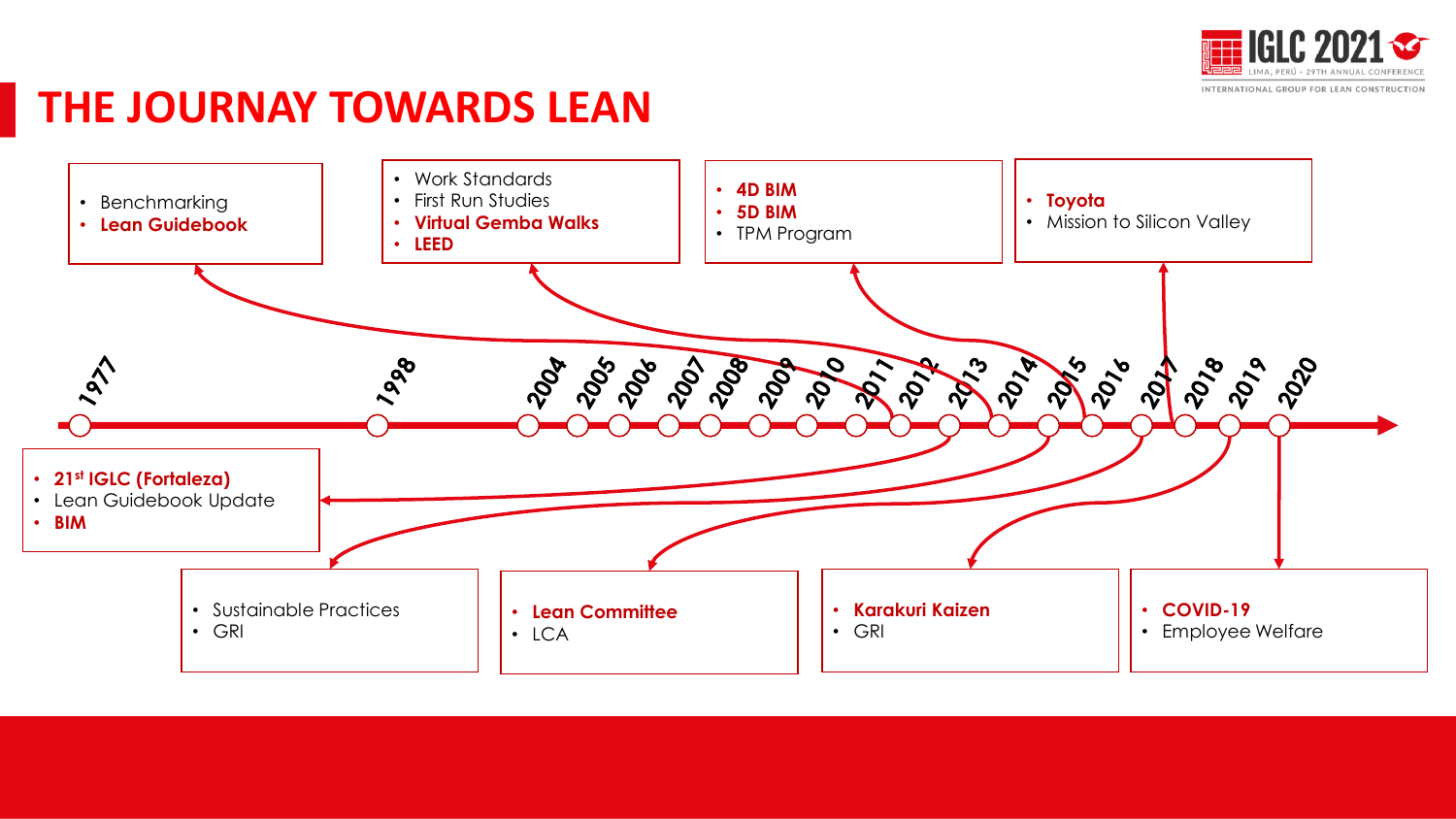

#### **THE JOURNAY TOWARDS LEAN**

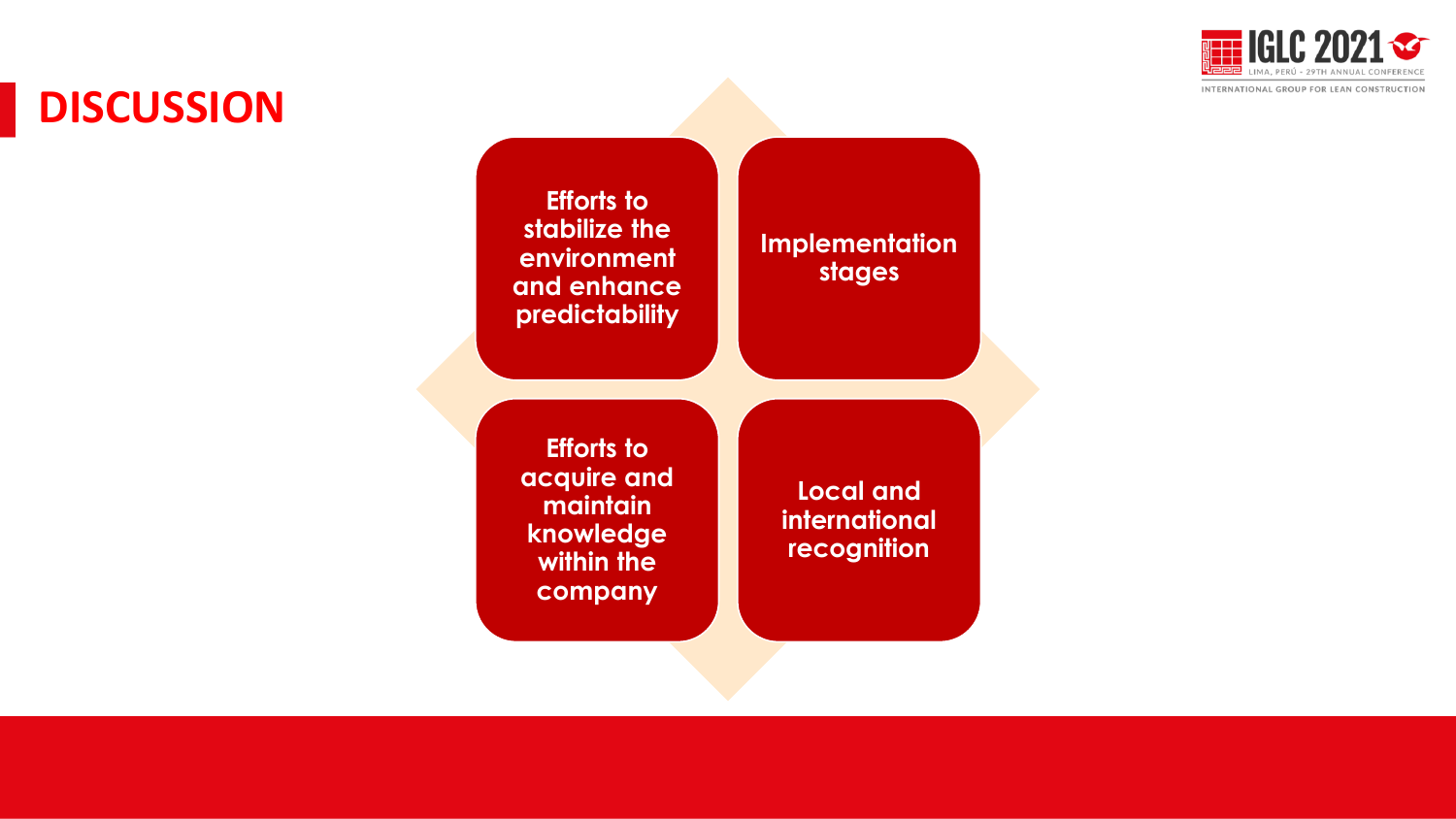

## **DISCUSSION**

**Efforts to stabilize the environment and enhance predictability**

**Implementation stages**

**Efforts to acquire and maintain knowledge within the company**

**Local and international recognition**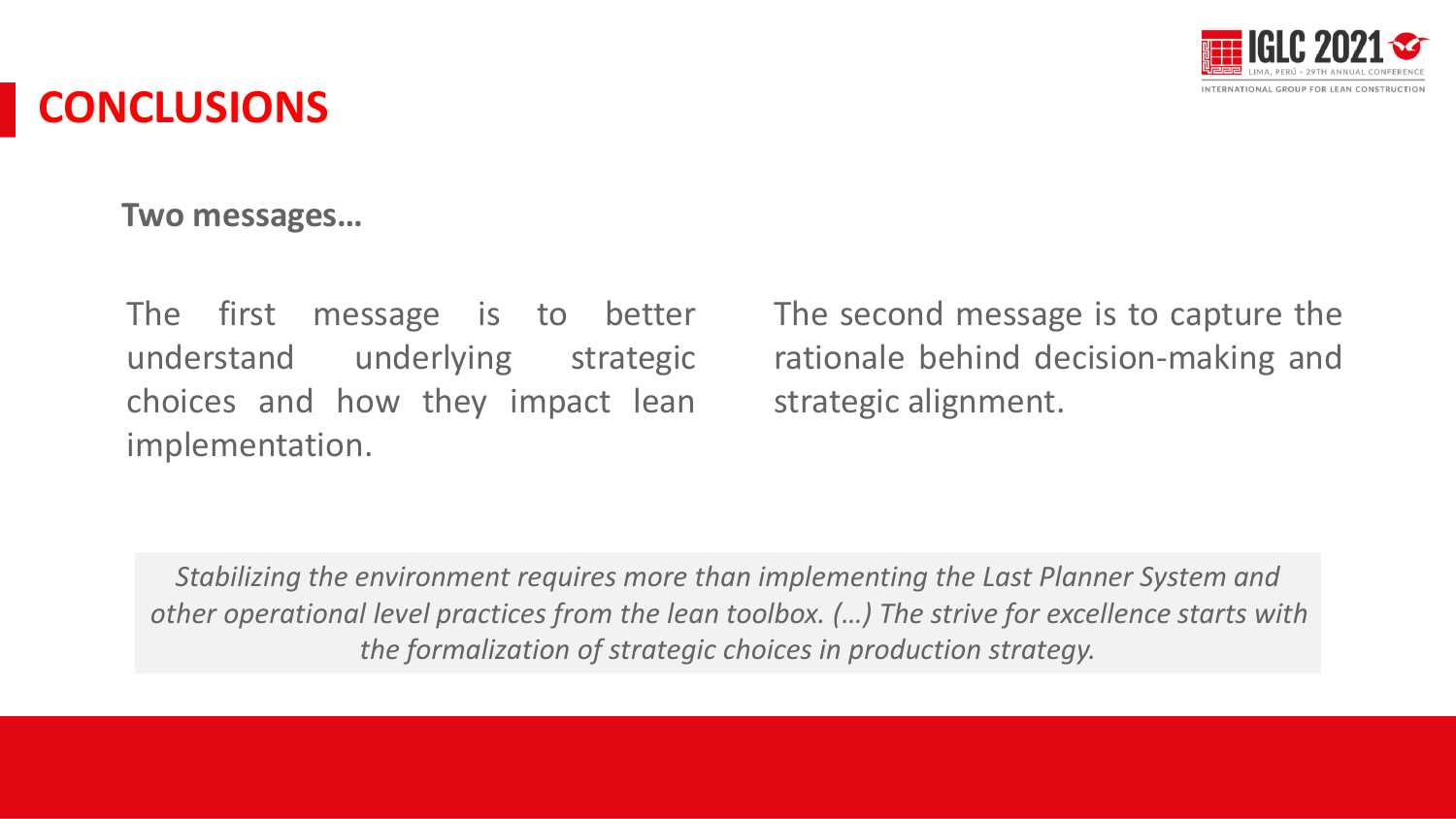

### **CONCLUSIONS**

**Two messages…**

The first message is to better understand underlying strategic choices and how they impact lean implementation.

The second message is to capture the rationale behind decision-making and strategic alignment.

*Stabilizing the environment requires more than implementing the Last Planner System and other operational level practices from the lean toolbox. (…) The strive for excellence starts with the formalization of strategic choices in production strategy.*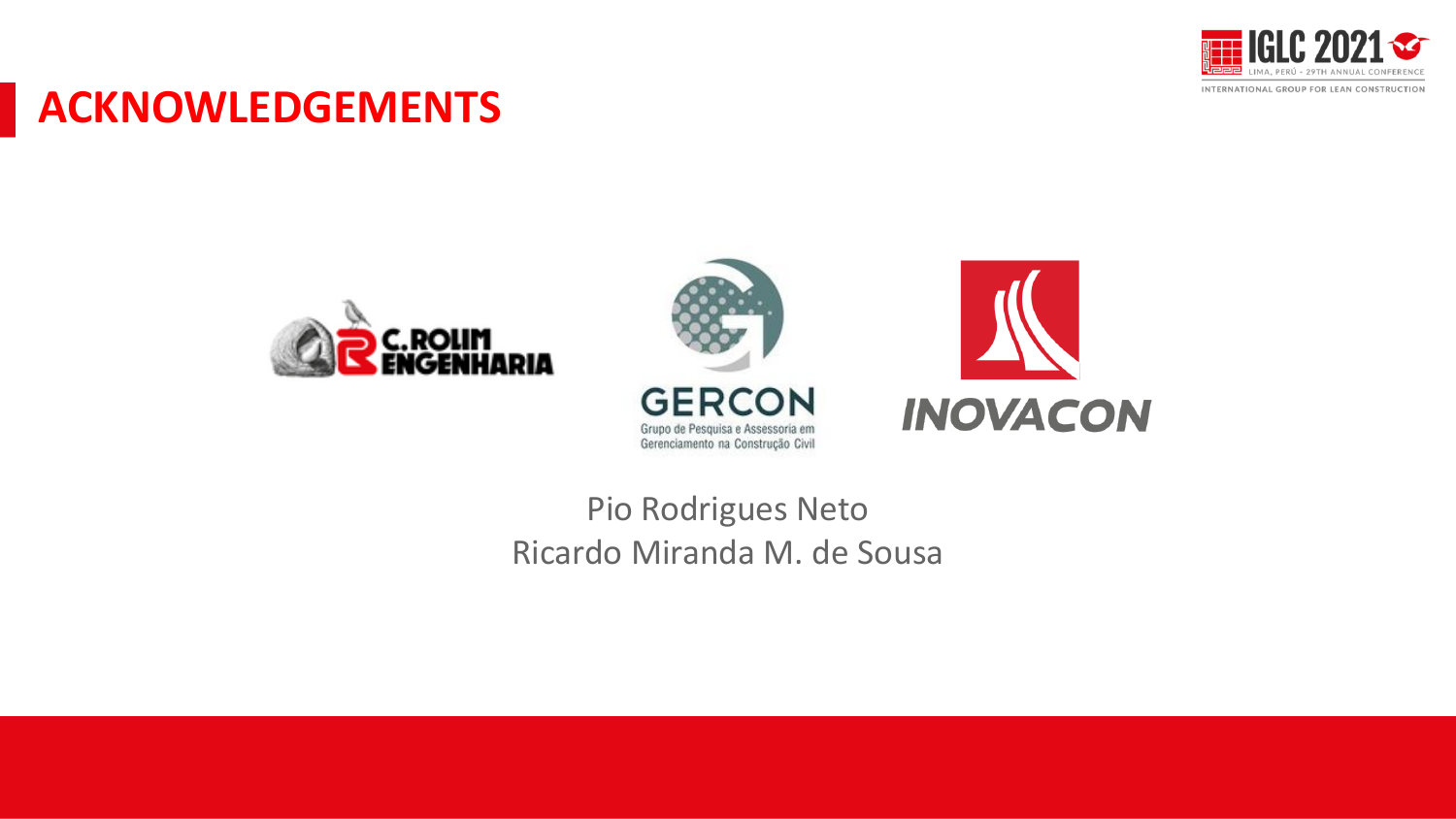

#### **ACKNOWLEDGEMENTS**





#### Pio Rodrigues Neto Ricardo Miranda M. de Sousa